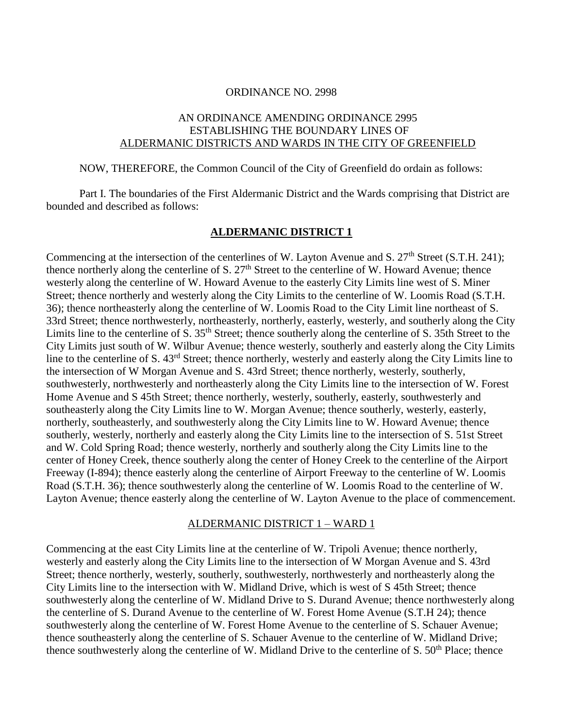#### ORDINANCE NO. 2998

# AN ORDINANCE AMENDING ORDINANCE 2995 ESTABLISHING THE BOUNDARY LINES OF ALDERMANIC DISTRICTS AND WARDS IN THE CITY OF GREENFIELD

NOW, THEREFORE, the Common Council of the City of Greenfield do ordain as follows:

Part I. The boundaries of the First Aldermanic District and the Wards comprising that District are bounded and described as follows:

## **ALDERMANIC DISTRICT 1**

Commencing at the intersection of the centerlines of W. Layton Avenue and S. 27<sup>th</sup> Street (S.T.H. 241): thence northerly along the centerline of S. 27<sup>th</sup> Street to the centerline of W. Howard Avenue; thence westerly along the centerline of W. Howard Avenue to the easterly City Limits line west of S. Miner Street; thence northerly and westerly along the City Limits to the centerline of W. Loomis Road (S.T.H. 36); thence northeasterly along the centerline of W. Loomis Road to the City Limit line northeast of S. 33rd Street; thence northwesterly, northeasterly, northerly, easterly, westerly, and southerly along the City Limits line to the centerline of S.  $35<sup>th</sup>$  Street; thence southerly along the centerline of S. 35th Street to the City Limits just south of W. Wilbur Avenue; thence westerly, southerly and easterly along the City Limits line to the centerline of S. 43rd Street; thence northerly, westerly and easterly along the City Limits line to the intersection of W Morgan Avenue and S. 43rd Street; thence northerly, westerly, southerly, southwesterly, northwesterly and northeasterly along the City Limits line to the intersection of W. Forest Home Avenue and S 45th Street; thence northerly, westerly, southerly, easterly, southwesterly and southeasterly along the City Limits line to W. Morgan Avenue; thence southerly, westerly, easterly, northerly, southeasterly, and southwesterly along the City Limits line to W. Howard Avenue; thence southerly, westerly, northerly and easterly along the City Limits line to the intersection of S. 51st Street and W. Cold Spring Road; thence westerly, northerly and southerly along the City Limits line to the center of Honey Creek, thence southerly along the center of Honey Creek to the centerline of the Airport Freeway (I-894); thence easterly along the centerline of Airport Freeway to the centerline of W. Loomis Road (S.T.H. 36); thence southwesterly along the centerline of W. Loomis Road to the centerline of W. Layton Avenue; thence easterly along the centerline of W. Layton Avenue to the place of commencement.

#### ALDERMANIC DISTRICT 1 – WARD 1

Commencing at the east City Limits line at the centerline of W. Tripoli Avenue; thence northerly, westerly and easterly along the City Limits line to the intersection of W Morgan Avenue and S. 43rd Street; thence northerly, westerly, southerly, southwesterly, northwesterly and northeasterly along the City Limits line to the intersection with W. Midland Drive, which is west of S 45th Street; thence southwesterly along the centerline of W. Midland Drive to S. Durand Avenue; thence northwesterly along the centerline of S. Durand Avenue to the centerline of W. Forest Home Avenue (S.T.H 24); thence southwesterly along the centerline of W. Forest Home Avenue to the centerline of S. Schauer Avenue; thence southeasterly along the centerline of S. Schauer Avenue to the centerline of W. Midland Drive; thence southwesterly along the centerline of W. Midland Drive to the centerline of S. 50<sup>th</sup> Place; thence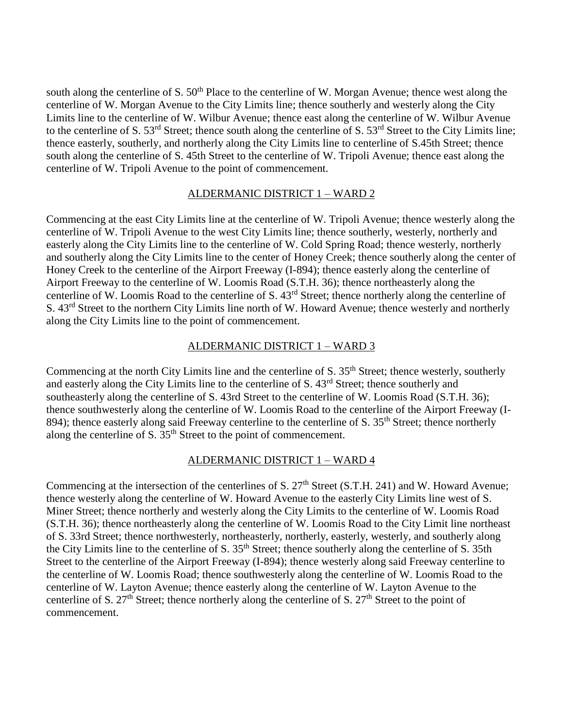south along the centerline of S. 50<sup>th</sup> Place to the centerline of W. Morgan Avenue; thence west along the centerline of W. Morgan Avenue to the City Limits line; thence southerly and westerly along the City Limits line to the centerline of W. Wilbur Avenue; thence east along the centerline of W. Wilbur Avenue to the centerline of S. 53<sup>rd</sup> Street; thence south along the centerline of S. 53<sup>rd</sup> Street to the City Limits line; thence easterly, southerly, and northerly along the City Limits line to centerline of S.45th Street; thence south along the centerline of S. 45th Street to the centerline of W. Tripoli Avenue; thence east along the centerline of W. Tripoli Avenue to the point of commencement.

# ALDERMANIC DISTRICT 1 – WARD 2

Commencing at the east City Limits line at the centerline of W. Tripoli Avenue; thence westerly along the centerline of W. Tripoli Avenue to the west City Limits line; thence southerly, westerly, northerly and easterly along the City Limits line to the centerline of W. Cold Spring Road; thence westerly, northerly and southerly along the City Limits line to the center of Honey Creek; thence southerly along the center of Honey Creek to the centerline of the Airport Freeway (I-894); thence easterly along the centerline of Airport Freeway to the centerline of W. Loomis Road (S.T.H. 36); thence northeasterly along the centerline of W. Loomis Road to the centerline of S. 43rd Street; thence northerly along the centerline of S.  $43<sup>rd</sup>$  Street to the northern City Limits line north of W. Howard Avenue; thence westerly and northerly along the City Limits line to the point of commencement.

## ALDERMANIC DISTRICT 1 – WARD 3

Commencing at the north City Limits line and the centerline of S. 35<sup>th</sup> Street; thence westerly, southerly and easterly along the City Limits line to the centerline of S. 43rd Street; thence southerly and southeasterly along the centerline of S. 43rd Street to the centerline of W. Loomis Road (S.T.H. 36); thence southwesterly along the centerline of W. Loomis Road to the centerline of the Airport Freeway (I-894); thence easterly along said Freeway centerline to the centerline of S. 35<sup>th</sup> Street; thence northerly along the centerline of S.  $35<sup>th</sup>$  Street to the point of commencement.

# ALDERMANIC DISTRICT 1 – WARD 4

Commencing at the intersection of the centerlines of S. 27<sup>th</sup> Street (S.T.H. 241) and W. Howard Avenue; thence westerly along the centerline of W. Howard Avenue to the easterly City Limits line west of S. Miner Street; thence northerly and westerly along the City Limits to the centerline of W. Loomis Road (S.T.H. 36); thence northeasterly along the centerline of W. Loomis Road to the City Limit line northeast of S. 33rd Street; thence northwesterly, northeasterly, northerly, easterly, westerly, and southerly along the City Limits line to the centerline of S. 35th Street; thence southerly along the centerline of S. 35th Street to the centerline of the Airport Freeway (I-894); thence westerly along said Freeway centerline to the centerline of W. Loomis Road; thence southwesterly along the centerline of W. Loomis Road to the centerline of W. Layton Avenue; thence easterly along the centerline of W. Layton Avenue to the centerline of S.  $27<sup>th</sup>$  Street; thence northerly along the centerline of S.  $27<sup>th</sup>$  Street to the point of commencement.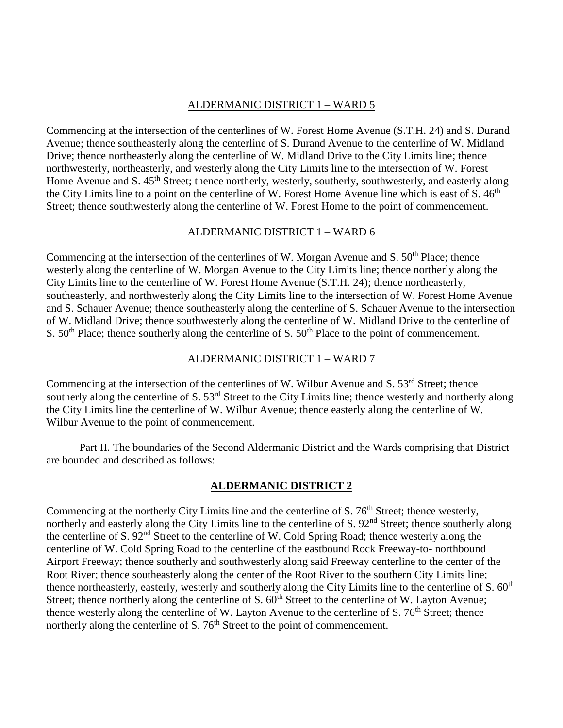#### ALDERMANIC DISTRICT 1 – WARD 5

Commencing at the intersection of the centerlines of W. Forest Home Avenue (S.T.H. 24) and S. Durand Avenue; thence southeasterly along the centerline of S. Durand Avenue to the centerline of W. Midland Drive; thence northeasterly along the centerline of W. Midland Drive to the City Limits line; thence northwesterly, northeasterly, and westerly along the City Limits line to the intersection of W. Forest Home Avenue and S. 45<sup>th</sup> Street; thence northerly, westerly, southerly, southwesterly, and easterly along the City Limits line to a point on the centerline of W. Forest Home Avenue line which is east of  $S. 46<sup>th</sup>$ Street; thence southwesterly along the centerline of W. Forest Home to the point of commencement.

## ALDERMANIC DISTRICT 1 – WARD 6

Commencing at the intersection of the centerlines of W. Morgan Avenue and S.  $50<sup>th</sup>$  Place; thence westerly along the centerline of W. Morgan Avenue to the City Limits line; thence northerly along the City Limits line to the centerline of W. Forest Home Avenue (S.T.H. 24); thence northeasterly, southeasterly, and northwesterly along the City Limits line to the intersection of W. Forest Home Avenue and S. Schauer Avenue; thence southeasterly along the centerline of S. Schauer Avenue to the intersection of W. Midland Drive; thence southwesterly along the centerline of W. Midland Drive to the centerline of S.  $50<sup>th</sup>$  Place; thence southerly along the centerline of S.  $50<sup>th</sup>$  Place to the point of commencement.

# ALDERMANIC DISTRICT 1 – WARD 7

Commencing at the intersection of the centerlines of W. Wilbur Avenue and S. 53<sup>rd</sup> Street: thence southerly along the centerline of S. 53<sup>rd</sup> Street to the City Limits line; thence westerly and northerly along the City Limits line the centerline of W. Wilbur Avenue; thence easterly along the centerline of W. Wilbur Avenue to the point of commencement.

Part II. The boundaries of the Second Aldermanic District and the Wards comprising that District are bounded and described as follows:

# **ALDERMANIC DISTRICT 2**

Commencing at the northerly City Limits line and the centerline of S. 76<sup>th</sup> Street; thence westerly, northerly and easterly along the City Limits line to the centerline of S. 92<sup>nd</sup> Street; thence southerly along the centerline of S. 92<sup>nd</sup> Street to the centerline of W. Cold Spring Road; thence westerly along the centerline of W. Cold Spring Road to the centerline of the eastbound Rock Freeway-to- northbound Airport Freeway; thence southerly and southwesterly along said Freeway centerline to the center of the Root River; thence southeasterly along the center of the Root River to the southern City Limits line; thence northeasterly, easterly, westerly and southerly along the City Limits line to the centerline of S. 60<sup>th</sup> Street; thence northerly along the centerline of S.  $60<sup>th</sup>$  Street to the centerline of W. Layton Avenue; thence westerly along the centerline of W. Layton Avenue to the centerline of S.  $76<sup>th</sup>$  Street; thence northerly along the centerline of S. 76<sup>th</sup> Street to the point of commencement.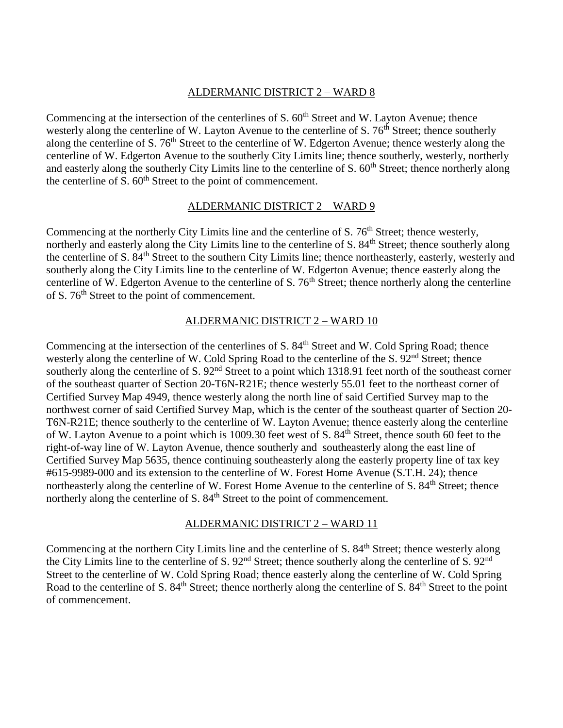#### ALDERMANIC DISTRICT 2 – WARD 8

Commencing at the intersection of the centerlines of S.  $60<sup>th</sup>$  Street and W. Layton Avenue; thence westerly along the centerline of W. Layton Avenue to the centerline of S.  $76<sup>th</sup>$  Street; thence southerly along the centerline of S. 76<sup>th</sup> Street to the centerline of W. Edgerton Avenue; thence westerly along the centerline of W. Edgerton Avenue to the southerly City Limits line; thence southerly, westerly, northerly and easterly along the southerly City Limits line to the centerline of S. 60<sup>th</sup> Street; thence northerly along the centerline of  $S. 60<sup>th</sup>$  Street to the point of commencement.

#### ALDERMANIC DISTRICT 2 – WARD 9

Commencing at the northerly City Limits line and the centerline of S. 76<sup>th</sup> Street; thence westerly, northerly and easterly along the City Limits line to the centerline of S. 84<sup>th</sup> Street; thence southerly along the centerline of S. 84<sup>th</sup> Street to the southern City Limits line; thence northeasterly, easterly, westerly and southerly along the City Limits line to the centerline of W. Edgerton Avenue; thence easterly along the centerline of W. Edgerton Avenue to the centerline of S.  $76<sup>th</sup>$  Street; thence northerly along the centerline of S. 76th Street to the point of commencement.

## ALDERMANIC DISTRICT 2 – WARD 10

Commencing at the intersection of the centerlines of S. 84<sup>th</sup> Street and W. Cold Spring Road; thence westerly along the centerline of W. Cold Spring Road to the centerline of the S. 92<sup>nd</sup> Street; thence southerly along the centerline of S. 92<sup>nd</sup> Street to a point which 1318.91 feet north of the southeast corner of the southeast quarter of Section 20-T6N-R21E; thence westerly 55.01 feet to the northeast corner of Certified Survey Map 4949, thence westerly along the north line of said Certified Survey map to the northwest corner of said Certified Survey Map, which is the center of the southeast quarter of Section 20- T6N-R21E; thence southerly to the centerline of W. Layton Avenue; thence easterly along the centerline of W. Layton Avenue to a point which is 1009.30 feet west of S. 84<sup>th</sup> Street, thence south 60 feet to the right-of-way line of W. Layton Avenue, thence southerly and southeasterly along the east line of Certified Survey Map 5635, thence continuing southeasterly along the easterly property line of tax key #615-9989-000 and its extension to the centerline of W. Forest Home Avenue (S.T.H. 24); thence northeasterly along the centerline of W. Forest Home Avenue to the centerline of S. 84<sup>th</sup> Street; thence northerly along the centerline of S. 84<sup>th</sup> Street to the point of commencement.

## ALDERMANIC DISTRICT 2 – WARD 11

Commencing at the northern City Limits line and the centerline of S. 84<sup>th</sup> Street; thence westerly along the City Limits line to the centerline of S.  $92<sup>nd</sup>$  Street; thence southerly along the centerline of S.  $92<sup>nd</sup>$ Street to the centerline of W. Cold Spring Road; thence easterly along the centerline of W. Cold Spring Road to the centerline of S. 84<sup>th</sup> Street; thence northerly along the centerline of S. 84<sup>th</sup> Street to the point of commencement.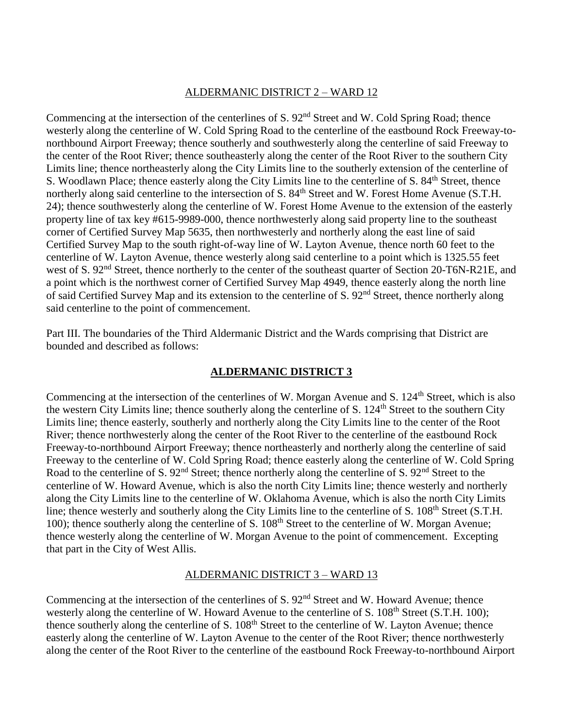#### ALDERMANIC DISTRICT 2 – WARD 12

Commencing at the intersection of the centerlines of S. 92<sup>nd</sup> Street and W. Cold Spring Road; thence westerly along the centerline of W. Cold Spring Road to the centerline of the eastbound Rock Freeway-tonorthbound Airport Freeway; thence southerly and southwesterly along the centerline of said Freeway to the center of the Root River; thence southeasterly along the center of the Root River to the southern City Limits line; thence northeasterly along the City Limits line to the southerly extension of the centerline of S. Woodlawn Place; thence easterly along the City Limits line to the centerline of S. 84<sup>th</sup> Street, thence northerly along said centerline to the intersection of S. 84<sup>th</sup> Street and W. Forest Home Avenue (S.T.H. 24); thence southwesterly along the centerline of W. Forest Home Avenue to the extension of the easterly property line of tax key #615-9989-000, thence northwesterly along said property line to the southeast corner of Certified Survey Map 5635, then northwesterly and northerly along the east line of said Certified Survey Map to the south right-of-way line of W. Layton Avenue, thence north 60 feet to the centerline of W. Layton Avenue, thence westerly along said centerline to a point which is 1325.55 feet west of S. 92<sup>nd</sup> Street, thence northerly to the center of the southeast quarter of Section 20-T6N-R21E, and a point which is the northwest corner of Certified Survey Map 4949, thence easterly along the north line of said Certified Survey Map and its extension to the centerline of S. 92<sup>nd</sup> Street, thence northerly along said centerline to the point of commencement.

Part III. The boundaries of the Third Aldermanic District and the Wards comprising that District are bounded and described as follows:

# **ALDERMANIC DISTRICT 3**

Commencing at the intersection of the centerlines of W. Morgan Avenue and S. 124<sup>th</sup> Street, which is also the western City Limits line; thence southerly along the centerline of S.  $124<sup>th</sup>$  Street to the southern City Limits line; thence easterly, southerly and northerly along the City Limits line to the center of the Root River; thence northwesterly along the center of the Root River to the centerline of the eastbound Rock Freeway-to-northbound Airport Freeway; thence northeasterly and northerly along the centerline of said Freeway to the centerline of W. Cold Spring Road; thence easterly along the centerline of W. Cold Spring Road to the centerline of S. 92<sup>nd</sup> Street; thence northerly along the centerline of S. 92<sup>nd</sup> Street to the centerline of W. Howard Avenue, which is also the north City Limits line; thence westerly and northerly along the City Limits line to the centerline of W. Oklahoma Avenue, which is also the north City Limits line; thence westerly and southerly along the City Limits line to the centerline of S. 108<sup>th</sup> Street (S.T.H. 100); thence southerly along the centerline of S. 108<sup>th</sup> Street to the centerline of W. Morgan Avenue; thence westerly along the centerline of W. Morgan Avenue to the point of commencement. Excepting that part in the City of West Allis.

## ALDERMANIC DISTRICT 3 – WARD 13

Commencing at the intersection of the centerlines of S.  $92<sup>nd</sup>$  Street and W. Howard Avenue; thence westerly along the centerline of W. Howard Avenue to the centerline of S. 108<sup>th</sup> Street (S.T.H. 100); thence southerly along the centerline of S. 108<sup>th</sup> Street to the centerline of W. Layton Avenue; thence easterly along the centerline of W. Layton Avenue to the center of the Root River; thence northwesterly along the center of the Root River to the centerline of the eastbound Rock Freeway-to-northbound Airport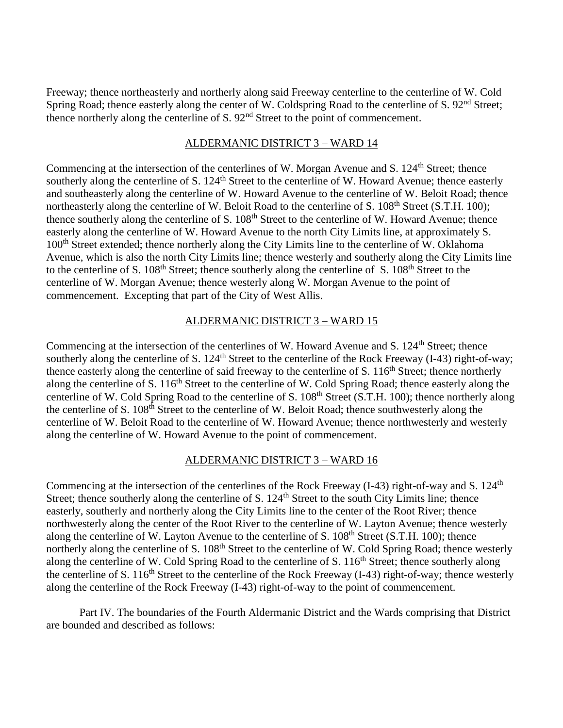Freeway; thence northeasterly and northerly along said Freeway centerline to the centerline of W. Cold Spring Road; thence easterly along the center of W. Coldspring Road to the centerline of S. 92<sup>nd</sup> Street; thence northerly along the centerline of S. 92<sup>nd</sup> Street to the point of commencement.

## ALDERMANIC DISTRICT 3 – WARD 14

Commencing at the intersection of the centerlines of W. Morgan Avenue and S. 124<sup>th</sup> Street; thence southerly along the centerline of S. 124<sup>th</sup> Street to the centerline of W. Howard Avenue; thence easterly and southeasterly along the centerline of W. Howard Avenue to the centerline of W. Beloit Road; thence northeasterly along the centerline of W. Beloit Road to the centerline of S. 108<sup>th</sup> Street (S.T.H. 100); thence southerly along the centerline of S. 108<sup>th</sup> Street to the centerline of W. Howard Avenue; thence easterly along the centerline of W. Howard Avenue to the north City Limits line, at approximately S. 100<sup>th</sup> Street extended; thence northerly along the City Limits line to the centerline of W. Oklahoma Avenue, which is also the north City Limits line; thence westerly and southerly along the City Limits line to the centerline of S. 108<sup>th</sup> Street; thence southerly along the centerline of S. 108<sup>th</sup> Street to the centerline of W. Morgan Avenue; thence westerly along W. Morgan Avenue to the point of commencement. Excepting that part of the City of West Allis.

# ALDERMANIC DISTRICT 3 – WARD 15

Commencing at the intersection of the centerlines of W. Howard Avenue and S. 124<sup>th</sup> Street; thence southerly along the centerline of S.  $124<sup>th</sup>$  Street to the centerline of the Rock Freeway (I-43) right-of-way; thence easterly along the centerline of said freeway to the centerline of S. 116<sup>th</sup> Street; thence northerly along the centerline of S. 116<sup>th</sup> Street to the centerline of W. Cold Spring Road; thence easterly along the centerline of W. Cold Spring Road to the centerline of S. 108<sup>th</sup> Street (S.T.H. 100); thence northerly along the centerline of S. 108<sup>th</sup> Street to the centerline of W. Beloit Road; thence southwesterly along the centerline of W. Beloit Road to the centerline of W. Howard Avenue; thence northwesterly and westerly along the centerline of W. Howard Avenue to the point of commencement.

# ALDERMANIC DISTRICT 3 – WARD 16

Commencing at the intersection of the centerlines of the Rock Freeway (I-43) right-of-way and S. 124<sup>th</sup> Street; thence southerly along the centerline of S.  $124<sup>th</sup>$  Street to the south City Limits line; thence easterly, southerly and northerly along the City Limits line to the center of the Root River; thence northwesterly along the center of the Root River to the centerline of W. Layton Avenue; thence westerly along the centerline of W. Layton Avenue to the centerline of S.  $108<sup>th</sup>$  Street (S.T.H. 100); thence northerly along the centerline of S. 108<sup>th</sup> Street to the centerline of W. Cold Spring Road; thence westerly along the centerline of W. Cold Spring Road to the centerline of S. 116<sup>th</sup> Street; thence southerly along the centerline of S.  $116<sup>th</sup>$  Street to the centerline of the Rock Freeway (I-43) right-of-way; thence westerly along the centerline of the Rock Freeway (I-43) right-of-way to the point of commencement.

Part IV. The boundaries of the Fourth Aldermanic District and the Wards comprising that District are bounded and described as follows: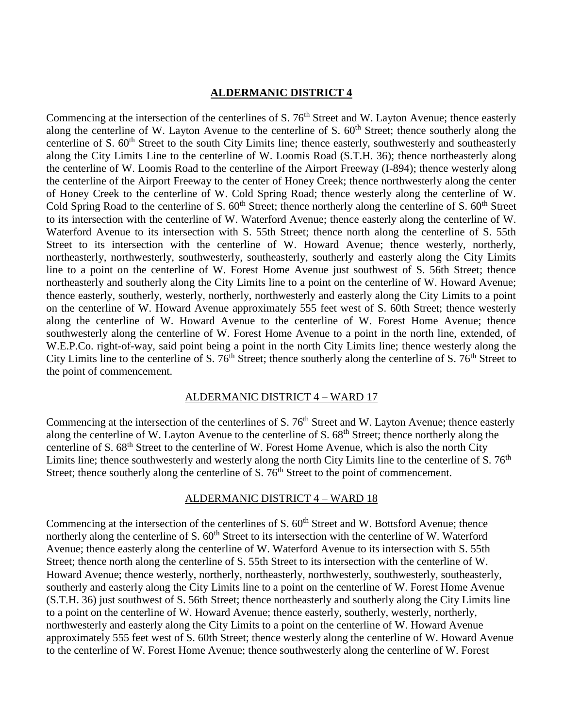#### **ALDERMANIC DISTRICT 4**

Commencing at the intersection of the centerlines of S. 76<sup>th</sup> Street and W. Layton Avenue; thence easterly along the centerline of W. Layton Avenue to the centerline of S.  $60<sup>th</sup>$  Street; thence southerly along the centerline of S. 60<sup>th</sup> Street to the south City Limits line; thence easterly, southwesterly and southeasterly along the City Limits Line to the centerline of W. Loomis Road (S.T.H. 36); thence northeasterly along the centerline of W. Loomis Road to the centerline of the Airport Freeway (I-894); thence westerly along the centerline of the Airport Freeway to the center of Honey Creek; thence northwesterly along the center of Honey Creek to the centerline of W. Cold Spring Road; thence westerly along the centerline of W. Cold Spring Road to the centerline of S.  $60<sup>th</sup>$  Street; thence northerly along the centerline of S.  $60<sup>th</sup>$  Street to its intersection with the centerline of W. Waterford Avenue; thence easterly along the centerline of W. Waterford Avenue to its intersection with S. 55th Street; thence north along the centerline of S. 55th Street to its intersection with the centerline of W. Howard Avenue; thence westerly, northerly, northeasterly, northwesterly, southwesterly, southeasterly, southerly and easterly along the City Limits line to a point on the centerline of W. Forest Home Avenue just southwest of S. 56th Street; thence northeasterly and southerly along the City Limits line to a point on the centerline of W. Howard Avenue; thence easterly, southerly, westerly, northerly, northwesterly and easterly along the City Limits to a point on the centerline of W. Howard Avenue approximately 555 feet west of S. 60th Street; thence westerly along the centerline of W. Howard Avenue to the centerline of W. Forest Home Avenue; thence southwesterly along the centerline of W. Forest Home Avenue to a point in the north line, extended, of W.E.P.Co. right-of-way, said point being a point in the north City Limits line; thence westerly along the City Limits line to the centerline of S.  $76<sup>th</sup>$  Street; thence southerly along the centerline of S.  $76<sup>th</sup>$  Street to the point of commencement.

#### ALDERMANIC DISTRICT 4 – WARD 17

Commencing at the intersection of the centerlines of S. 76<sup>th</sup> Street and W. Layton Avenue; thence easterly along the centerline of W. Layton Avenue to the centerline of S. 68<sup>th</sup> Street; thence northerly along the centerline of S. 68<sup>th</sup> Street to the centerline of W. Forest Home Avenue, which is also the north City Limits line; thence southwesterly and westerly along the north City Limits line to the centerline of  $S. 76<sup>th</sup>$ Street; thence southerly along the centerline of S. 76<sup>th</sup> Street to the point of commencement.

#### ALDERMANIC DISTRICT 4 – WARD 18

Commencing at the intersection of the centerlines of S.  $60<sup>th</sup>$  Street and W. Bottsford Avenue; thence northerly along the centerline of S.  $60<sup>th</sup>$  Street to its intersection with the centerline of W. Waterford Avenue; thence easterly along the centerline of W. Waterford Avenue to its intersection with S. 55th Street; thence north along the centerline of S. 55th Street to its intersection with the centerline of W. Howard Avenue; thence westerly, northerly, northeasterly, northwesterly, southwesterly, southeasterly, southerly and easterly along the City Limits line to a point on the centerline of W. Forest Home Avenue (S.T.H. 36) just southwest of S. 56th Street; thence northeasterly and southerly along the City Limits line to a point on the centerline of W. Howard Avenue; thence easterly, southerly, westerly, northerly, northwesterly and easterly along the City Limits to a point on the centerline of W. Howard Avenue approximately 555 feet west of S. 60th Street; thence westerly along the centerline of W. Howard Avenue to the centerline of W. Forest Home Avenue; thence southwesterly along the centerline of W. Forest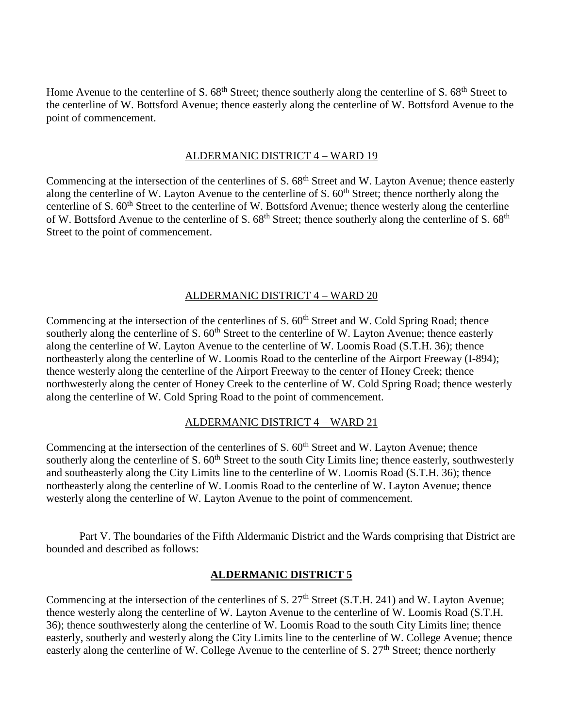Home Avenue to the centerline of S. 68<sup>th</sup> Street; thence southerly along the centerline of S. 68<sup>th</sup> Street to the centerline of W. Bottsford Avenue; thence easterly along the centerline of W. Bottsford Avenue to the point of commencement.

#### ALDERMANIC DISTRICT 4 – WARD 19

Commencing at the intersection of the centerlines of S. 68<sup>th</sup> Street and W. Layton Avenue; thence easterly along the centerline of W. Layton Avenue to the centerline of S. 60<sup>th</sup> Street; thence northerly along the centerline of S. 60<sup>th</sup> Street to the centerline of W. Bottsford Avenue; thence westerly along the centerline of W. Bottsford Avenue to the centerline of S. 68<sup>th</sup> Street; thence southerly along the centerline of S. 68<sup>th</sup> Street to the point of commencement.

## ALDERMANIC DISTRICT 4 – WARD 20

Commencing at the intersection of the centerlines of S. 60<sup>th</sup> Street and W. Cold Spring Road; thence southerly along the centerline of S.  $60<sup>th</sup>$  Street to the centerline of W. Layton Avenue; thence easterly along the centerline of W. Layton Avenue to the centerline of W. Loomis Road (S.T.H. 36); thence northeasterly along the centerline of W. Loomis Road to the centerline of the Airport Freeway (I-894); thence westerly along the centerline of the Airport Freeway to the center of Honey Creek; thence northwesterly along the center of Honey Creek to the centerline of W. Cold Spring Road; thence westerly along the centerline of W. Cold Spring Road to the point of commencement.

## ALDERMANIC DISTRICT 4 – WARD 21

Commencing at the intersection of the centerlines of S.  $60<sup>th</sup>$  Street and W. Layton Avenue; thence southerly along the centerline of S.  $60<sup>th</sup>$  Street to the south City Limits line; thence easterly, southwesterly and southeasterly along the City Limits line to the centerline of W. Loomis Road (S.T.H. 36); thence northeasterly along the centerline of W. Loomis Road to the centerline of W. Layton Avenue; thence westerly along the centerline of W. Layton Avenue to the point of commencement.

Part V. The boundaries of the Fifth Aldermanic District and the Wards comprising that District are bounded and described as follows:

#### **ALDERMANIC DISTRICT 5**

Commencing at the intersection of the centerlines of S.  $27<sup>th</sup>$  Street (S.T.H. 241) and W. Layton Avenue; thence westerly along the centerline of W. Layton Avenue to the centerline of W. Loomis Road (S.T.H. 36); thence southwesterly along the centerline of W. Loomis Road to the south City Limits line; thence easterly, southerly and westerly along the City Limits line to the centerline of W. College Avenue; thence easterly along the centerline of W. College Avenue to the centerline of S. 27<sup>th</sup> Street; thence northerly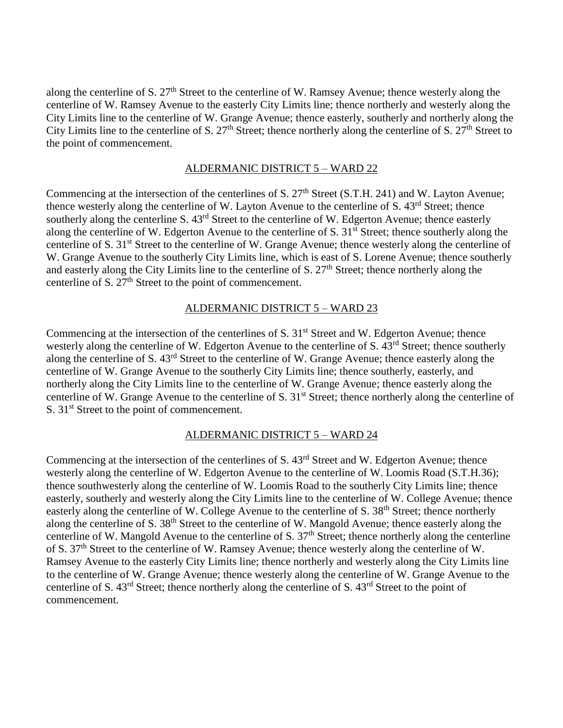along the centerline of S. 27<sup>th</sup> Street to the centerline of W. Ramsey Avenue; thence westerly along the centerline of W. Ramsey Avenue to the easterly City Limits line; thence northerly and westerly along the City Limits line to the centerline of W. Grange Avenue; thence easterly, southerly and northerly along the City Limits line to the centerline of S. 27<sup>th</sup> Street; thence northerly along the centerline of S. 27<sup>th</sup> Street to the point of commencement.

#### ALDERMANIC DISTRICT 5 – WARD 22

Commencing at the intersection of the centerlines of S.  $27<sup>th</sup>$  Street (S.T.H. 241) and W. Layton Avenue; thence westerly along the centerline of W. Layton Avenue to the centerline of S. 43<sup>rd</sup> Street; thence southerly along the centerline S.  $43^{rd}$  Street to the centerline of W. Edgerton Avenue; thence easterly along the centerline of W. Edgerton Avenue to the centerline of S. 31<sup>st</sup> Street; thence southerly along the centerline of S. 31st Street to the centerline of W. Grange Avenue; thence westerly along the centerline of W. Grange Avenue to the southerly City Limits line, which is east of S. Lorene Avenue; thence southerly and easterly along the City Limits line to the centerline of S. 27<sup>th</sup> Street; thence northerly along the centerline of S.  $27<sup>th</sup>$  Street to the point of commencement.

## ALDERMANIC DISTRICT 5 – WARD 23

Commencing at the intersection of the centerlines of S. 31<sup>st</sup> Street and W. Edgerton Avenue; thence westerly along the centerline of W. Edgerton Avenue to the centerline of S. 43<sup>rd</sup> Street; thence southerly along the centerline of S. 43rd Street to the centerline of W. Grange Avenue; thence easterly along the centerline of W. Grange Avenue to the southerly City Limits line; thence southerly, easterly, and northerly along the City Limits line to the centerline of W. Grange Avenue; thence easterly along the centerline of W. Grange Avenue to the centerline of S. 31<sup>st</sup> Street; thence northerly along the centerline of S. 31<sup>st</sup> Street to the point of commencement.

## ALDERMANIC DISTRICT 5 – WARD 24

Commencing at the intersection of the centerlines of S. 43<sup>rd</sup> Street and W. Edgerton Avenue; thence westerly along the centerline of W. Edgerton Avenue to the centerline of W. Loomis Road (S.T.H.36); thence southwesterly along the centerline of W. Loomis Road to the southerly City Limits line; thence easterly, southerly and westerly along the City Limits line to the centerline of W. College Avenue; thence easterly along the centerline of W. College Avenue to the centerline of S. 38<sup>th</sup> Street; thence northerly along the centerline of S. 38<sup>th</sup> Street to the centerline of W. Mangold Avenue; thence easterly along the centerline of W. Mangold Avenue to the centerline of S.  $37<sup>th</sup>$  Street; thence northerly along the centerline of S. 37th Street to the centerline of W. Ramsey Avenue; thence westerly along the centerline of W. Ramsey Avenue to the easterly City Limits line; thence northerly and westerly along the City Limits line to the centerline of W. Grange Avenue; thence westerly along the centerline of W. Grange Avenue to the centerline of S. 43rd Street; thence northerly along the centerline of S. 43rd Street to the point of commencement.